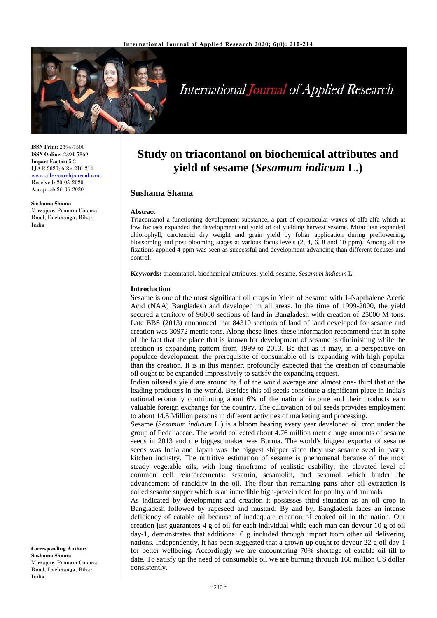

# **International Journal of Applied Research**

**ISSN Print:** 2394-7500 **ISSN Online:** 2394-5869 **Impact Factor:** 5.2 IJAR 2020; 6(8): 210-214 <www.allresearchjournal.com> Received: 20-05-2020 Accepted: 26-06-2020

**Sushama Shama** Mirzapur, Poonam Cinema Road, Darbhanga, Bihar, India

# **Study on triacontanol on biochemical attributes and yield of sesame (***Sesamum indicum* **L.)**

# **Sushama Shama**

#### **Abstract**

Triacontanol a functioning development substance, a part of epicuticular waxes of alfa-alfa which at low focuses expanded the development and yield of oil yielding harvest sesame. Miracuian expanded chlorophyll, carotenoid dry weight and grain yield by foliar application during preflowering, blossoming and post blooming stages at various focus levels (2, 4, 6, 8 and 10 ppm). Among all the fixations applied 4 ppm was seen as successful and development advancing than different focuses and control.

**Keywords:** triacontanol, biochemical attributes, yield, sesame, *Sesamum indicum* L.

#### **Introduction**

Sesame is one of the most significant oil crops in Yield of Sesame with 1-Napthalene Acetic Acid (NAA) Bangladesh and developed in all areas. In the time of 1999-2000, the yield secured a territory of 96000 sections of land in Bangladesh with creation of 25000 M tons. Late BBS (2013) announced that 84310 sections of land of land developed for sesame and creation was 30972 metric tons. Along these lines, these information recommend that in spite of the fact that the place that is known for development of sesame is diminishing while the creation is expanding pattern from 1999 to 2013. Be that as it may, in a perspective on populace development, the prerequisite of consumable oil is expanding with high popular than the creation. It is in this manner, profoundly expected that the creation of consumable oil ought to be expanded impressively to satisfy the expanding request.

Indian oilseed's yield are around half of the world average and almost one- third that of the leading producers in the world. Besides this oil seeds constitute a significant place in India's national economy contributing about 6% of the national income and their products earn valuable foreign exchange for the country. The cultivation of oil seeds provides employment to about 14.5 Million persons in different activities of marketing and processing.

Sesame (*Sesamum indicum* L.) is a bloom bearing every year developed oil crop under the group of Pedaliaceae. The world collected about 4.76 million metric huge amounts of sesame seeds in 2013 and the biggest maker was Burma. The world's biggest exporter of sesame seeds was India and Japan was the biggest shipper since they use sesame seed in pastry kitchen industry. The nutritive estimation of sesame is phenomenal because of the most steady vegetable oils, with long timeframe of realistic usability, the elevated level of common cell reinforcements: sesamin, sesamolin, and sesamol which hinder the advancement of rancidity in the oil. The flour that remaining parts after oil extraction is called sesame supper which is an incredible high-protein feed for poultry and animals.

As indicated by development and creation it possesses third situation as an oil crop in Bangladesh followed by rapeseed and mustard. By and by, Bangladesh faces an intense deficiency of eatable oil because of inadequate creation of cooked oil in the nation. Our creation just guarantees 4 g of oil for each individual while each man can devour 10 g of oil day-1, demonstrates that additional 6 g included through import from other oil delivering nations. Independently, it has been suggested that a grown-up ought to devour 22 g oil day-1 for better wellbeing. Accordingly we are encountering 70% shortage of eatable oil till to date. To satisfy up the need of consumable oil we are burning through 160 million US dollar consistently.

**Corresponding Author: Sushama Shama** Mirzapur, Poonam Cinema Road, Darbhanga, Bihar, India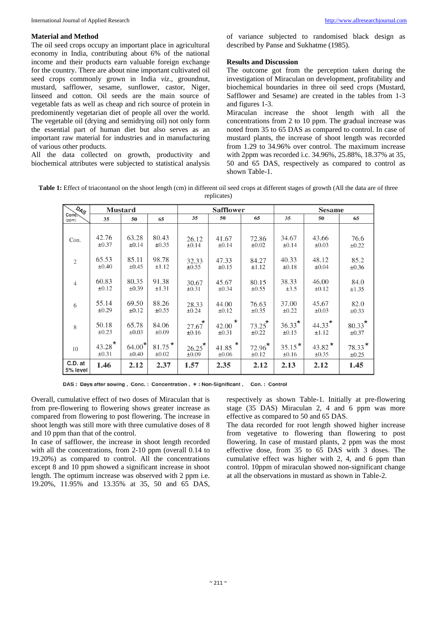# **Material and Method**

The oil seed crops occupy an important place in agricultural economy in India, contributing about 6% of the national income and their products earn valuable foreign exchange for the country. There are about nine important cultivated oil seed crops commonly grown in India *viz*., groundnut, mustard, safflower, sesame, sunflower, castor, Niger, linseed and cotton. Oil seeds are the main source of vegetable fats as well as cheap and rich source of protein in predominently vegetarian diet of people all over the world. The vegetable oil (drying and semidrying oil) not only form the essential part of human diet but also serves as an important raw material for industries and in manufacturing of various other products.

All the data collected on growth, productivity and biochemical attributes were subjected to statistical analysis of variance subjected to randomised black design as described by Panse and Sukhatme (1985).

# **Results and Discussion**

The outcome got from the perception taken during the investigation of Miraculan on development, profitability and biochemical boundaries in three oil seed crops (Mustard, Safflower and Sesame) are created in the tables from 1-3 and figures 1-3.

Miraculan increase the shoot length with all the concentrations from 2 to 10 ppm. The gradual increase was noted from 35 to 65 DAS as compared to control. In case of mustard plants, the increase of shoot length was recorded from 1.29 to 34.96% over control. The maximum increase with 2ppm was recorded i.c. 34.96%, 25.88%, 18.37% at 35, 50 and 65 DAS, respectively as compared to control as shown Table-1.

Table 1: Effect of triacontanol on the shoot length (cm) in different oil seed crops at different stages of growth (All the data are of three replicates)

| $\overline{O}_{A_{\mathcal{S}}}$ | <b>Mustard</b>       |                     |                     | <b>Safflower</b>    |                                  |                         | <b>Sesame</b>          |                   |                         |  |
|----------------------------------|----------------------|---------------------|---------------------|---------------------|----------------------------------|-------------------------|------------------------|-------------------|-------------------------|--|
| Conc.<br>(ppm)                   | 35                   | 50                  | 65                  | 35                  | 50                               | 65                      | 35                     | 50                | 65                      |  |
| Con.                             | 42.76                | 63.28               | 80.43               | 26.12               | 41.67                            | 72.86                   | 34.67                  | 43.66             | 76.6                    |  |
|                                  | $\pm 0.37$           | $\pm 0.14$          | $\pm 0.35$          | $\pm 0.14$          | $\pm 0.14$                       | $\pm 0.02$              | $\pm 0.14$             | $\pm 0.03$        | $\pm 0.22$              |  |
| $\overline{2}$                   | 65.53                | 85.11               | 98.78               | 32.33               | 47.33                            | 84.27                   | 40.33                  | 48.12             | 85.2                    |  |
|                                  | $\pm 0.40$           | $\pm 0.45$          | $\pm 1.12$          | $\pm 0.55$          | $\pm 0.15$                       | ±1.12                   | $\pm 0.18$             | $\pm 0.04$        | $\pm 0.36$              |  |
| $\overline{4}$                   | 60.83                | 80.35               | 91.38               | 30.67               | 45.67                            | 80.15                   | 38.33                  | 46.00             | 84.0                    |  |
|                                  | $\pm 0.12$           | $\pm 0.39$          | $\pm 1.31$          | $\pm 0.31$          | $\pm 0.34$                       | $\pm 0.55$              | $\pm 3.5$              | $\pm 0.12$        | $\pm 1.35$              |  |
| 6                                | 55.14                | 69.50               | 88.26               | 28.33               | 44.00                            | 76.63                   | 37.00                  | 45.67             | 82.0                    |  |
|                                  | $\pm 0.29$           | $\pm 0.12$          | $\pm 0.55$          | $\pm 0.24$          | $\pm 0.12$                       | $\pm 0.35$              | $\pm 0.22$             | $\pm 0.03$        | $\pm 0.33$              |  |
| 8                                | 50.18<br>$\pm 0.23$  | 65.78<br>$\pm 0.03$ | 84.06<br>$\pm 0.09$ | 27.67<br>$\pm 0.16$ | $\cdot$ *<br>42.00<br>$\pm 0.31$ | $73.25$ *<br>$\pm 0.22$ | $36.33*$<br>$\pm 0.15$ | $44.33*$<br>±1.12 | $80.33^*$<br>$\pm 0.37$ |  |
| 10                               | $43.28$ <sup>*</sup> | $64.00*$            | $81.75*$            | $26.25^{\star}$     | 41.85 $^{\star}$ 1               | $72.96*$                | $35.15*$               | 43.82 $*$         | $78.33*$                |  |
|                                  | $\pm 0.31$           | $\pm 0.40$          | $\pm 0.02$          | $\pm 0.09$          | $\pm 0.06$                       | $\pm 0.12$              | ±0.16                  | ±0.35             | $\pm 0.25$              |  |
| C.D. at<br>5% level              | 1.46                 | 2.12                | 2.37                | 1.57                | 2.35                             | 2.12                    | 2.13                   | 2.12              | 1.45                    |  |

DAS: Days after sowing, Conc.: Concentration,  $*$ : Non-Significant, Con.: Control

Overall, cumulative effect of two doses of Miraculan that is from pre-flowering to flowering shows greater increase as compared from flowering to post flowering. The increase in shoot length was still more with three cumulative doses of 8 and 10 ppm than that of the control.

In case of safflower, the increase in shoot length recorded with all the concentrations, from 2-10 ppm (overall 0.14 to 19.20%) as compared to control. All the concentrations except 8 and 10 ppm showed a significant increase in shoot length. The optimum increase was observed with 2 ppm i.e. 19.20%, 11.95% and 13.35% at 35, 50 and 65 DAS,

respectively as shown Table-1. Initially at pre-flowering stage (35 DAS) Miraculan 2, 4 and 6 ppm was more effective as compared to 50 and 65 DAS.

The data recorded for root length showed higher increase from vegetative to flowering than flowering to post flowering. In case of mustard plants, 2 ppm was the most effective dose, from 35 to 65 DAS with 3 doses. The cumulative effect was higher with 2, 4, and 6 ppm than control. 10ppm of miraculan showed non-significant change at all the observations in mustard as shown in Table-2.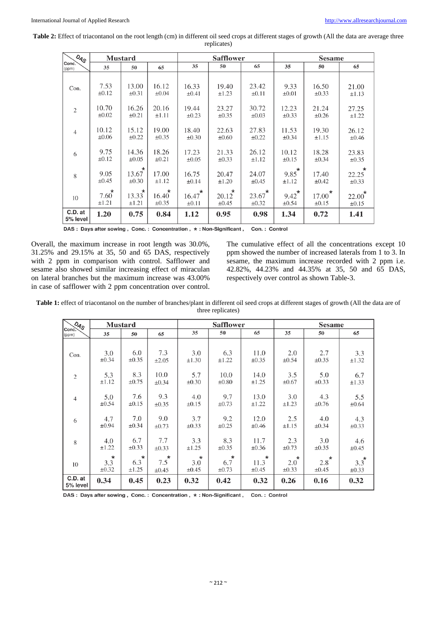Table 2: Effect of triacontanol on the root length (cm) in different oil seed crops at different stages of growth (All the data are average three replicates)

| $Q_{A_S}$           | <b>Mustard</b>         |                                |                                | <b>Safflower</b>               |                                |                         | <b>Sesame</b>          |                                |                                |
|---------------------|------------------------|--------------------------------|--------------------------------|--------------------------------|--------------------------------|-------------------------|------------------------|--------------------------------|--------------------------------|
| Conc.<br>(ppm)      | 35                     | 50                             | 65                             | 35                             | 50                             | 65                      | 35                     | 50                             | 65                             |
| Con.                | 7.53<br>$\pm 0.12$     | 13.00<br>$\pm 0.31$            | 16.12<br>$\pm 0.04$            | 16.33<br>$\pm 0.41$            | 19.40<br>±1.23                 | 23.42<br>$\pm 0.11$     | 9.33<br>$\pm 0.01$     | 16.50<br>$\pm 0.33$            | 21.00<br>$\pm 1.13$            |
| $\overline{2}$      | 10.70<br>$\pm 0.02$    | 16.26<br>$\pm 0.21$            | 20.16<br>$\pm 1.11$            | 19.44<br>$\pm 0.23$            | 23.27<br>$\pm 0.35$            | 30.72<br>$\pm 0.03$     | 12.23<br>$\pm 0.33$    | 21.24<br>$\pm 0.26$            | 27.25<br>$\pm 1.22$            |
| $\overline{4}$      | 10.12<br>$\pm 0.06$    | 15.12<br>$\pm 0.22$            | 19.00<br>$\pm 0.35$            | 18.40<br>$\pm 0.30$            | 22.63<br>$\pm 0.60$            | 27.83<br>$\pm 0.22$     | 11.53<br>$\pm 0.34$    | 19.30<br>±1.15                 | 26.12<br>$\pm 0.46$            |
| 6                   | 9.75<br>$\pm 0.12$     | 14.36<br>$\pm 0.05$            | 18.26<br>$\pm 0.21$            | 17.23<br>$\pm 0.05$            | 21.33<br>$\pm 0.33$            | 26.12<br>$\pm 1.12$     | 10.12<br>$\pm 0.15$    | 18.28<br>$\pm 0.34$            | 23.83<br>$\pm 0.35$            |
| 8                   | 9.05<br>$\pm 0.45$     | $\star$<br>13.67<br>$\pm 0.30$ | 17.00<br>$\pm 1.12$            | 16.75<br>$\pm 0.14$            | 20.47<br>$\pm 1.20$            | 24.07<br>$\pm 0.45$     | $9.85^*$<br>$\pm 1.12$ | 17.40<br>$\pm 0.42$            | $\star$<br>22.25<br>$\pm 0.33$ |
| 10                  | $7.60^*$<br>$\pm 1.21$ | $\star$<br>13.33<br>$\pm 1.21$ | $\star$<br>16.40<br>$\pm 0.35$ | $\star$<br>16.47<br>$\pm 0.11$ | $\star$<br>20.12<br>$\pm 0.45$ | $23.67$ *<br>$\pm 0.32$ | $9.42^*$<br>$\pm 0.54$ | $\star$<br>17.00<br>$\pm 0.15$ | $22.00^*$<br>$\pm 0.15$        |
| C.D. at<br>5% level | 1.20                   | 0.75                           | 0.84                           | 1.12                           | 0.95                           | 0.98                    | 1.34                   | 0.72                           | 1.41                           |

DAS: Days after sowing, Conc.: Concentration, \*: Non-Significant, Con.: Control

Overall, the maximum increase in root length was 30.0%, 31.25% and 29.15% at 35, 50 and 65 DAS, respectively with 2 ppm in comparison with control. Safflower and sesame also showed similar increasing effect of miraculan on lateral branches but the maximum increase was 43.00% in case of safflower with 2 ppm concentration over control. The cumulative effect of all the concentrations except 10 ppm showed the number of increased laterals from 1 to 3. In sesame, the maximum increase recorded with 2 ppm i.e. 42.82%, 44.23% and 44.35% at 35, 50 and 65 DAS, respectively over control as shown Table-3.

Table 1: effect of triacontanol on the number of branches/plant in different oil seed crops at different stages of growth (All the data are of three replicates)

| $\sqrt{a_{4S}}$<br>Conc <sub>1</sub> | <b>Mustard</b>               |                              |                        | <b>Safflower</b>        |                              |                               | <b>Sesame</b>                |                               |                       |
|--------------------------------------|------------------------------|------------------------------|------------------------|-------------------------|------------------------------|-------------------------------|------------------------------|-------------------------------|-----------------------|
| (ppm)                                | 35                           | 50                           | 65                     | 35                      | 50                           | 65                            | 35                           | 50                            | 65                    |
| Con.                                 | 3.0                          | 6.0                          | 7.3                    | 3.0                     | 6.3                          | 11.0                          | 2.0                          | 2.7                           | 3.3                   |
|                                      | $\pm 0.34$                   | $\pm 0.35$                   | ±2.05                  | $\pm 1.30$              | ±1.22                        | ±0.35                         | $\pm 0.54$                   | $\pm 0.35$                    | $\pm 1.32$            |
| 2                                    | 5.3                          | 8.3                          | 10.0                   | 5.7                     | 10.0                         | 14.0                          | 3.5                          | 5.0                           | 6.7                   |
|                                      | $\pm 1.12$                   | $\pm 0.75$                   | ±0.34                  | $\pm 0.30$              | $\pm 0.80$                   | ±1.25                         | $\pm 0.67$                   | $\pm 0.33$                    | $\pm 1.33$            |
| $\overline{4}$                       | 5.0                          | 7.6                          | 9.3                    | 4.0                     | 9.7                          | 13.0                          | 3.0                          | 4.3                           | 5.5                   |
|                                      | ±0.54                        | $\pm 0.15$                   | $\pm 0.35$             | $\pm 0.15$              | $\pm 0.73$                   | $\pm 1.22$                    | $\pm 1.23$                   | $\pm 0.76$                    | ±0.64                 |
| 6                                    | 4.7                          | 7.0                          | 9.0                    | 3.7                     | 9.2                          | 12.0                          | 2.5                          | 4.0                           | 4.3                   |
|                                      | $\pm 0.94$                   | $\pm 0.34$                   | ±0.73                  | $\pm 0.33$              | $\pm 0.25$                   | $\pm 0.46$                    | $\pm 1.15$                   | $\pm 0.34$                    | $\pm 0.33$            |
| 8                                    | 4.0                          | 6.7                          | 7.7                    | 3.3                     | 8.3                          | 11.7                          | 2.3                          | 3.0                           | 4.6                   |
|                                      | $\pm 1.22$                   | $\pm 0.33$                   | $\pm 0.33$             | ±1.25                   | $\pm 0.35$                   | $\pm 0.36$                    | $\pm 0.73$                   | $\pm 0.35$                    | $\pm 0.45$            |
| 10                                   | $\star$<br>3.3<br>$\pm 0.32$ | $\star$<br>6.3<br>$\pm 1.25$ | $7.5^{\star}$<br>±0.45 | $\star$<br>3.0<br>±0.45 | $\star$<br>6.7<br>$\pm 0.73$ | $\star$<br>11.3<br>$\pm 0.45$ | $\star$<br>2.0<br>$\pm 0.33$ | $^\star$<br>2.8<br>$\pm 0.45$ | $3.3^*$<br>$\pm 0.33$ |
| C.D. at<br>5% level                  | 0.34                         | 0.45                         | 0.23                   | 0.32                    | 0.42                         | 0.32                          | 0.26                         | 0.16                          | 0.32                  |

DAS: Days after sowing, Conc.: Concentration, \*: Non-Significant, Con.: Control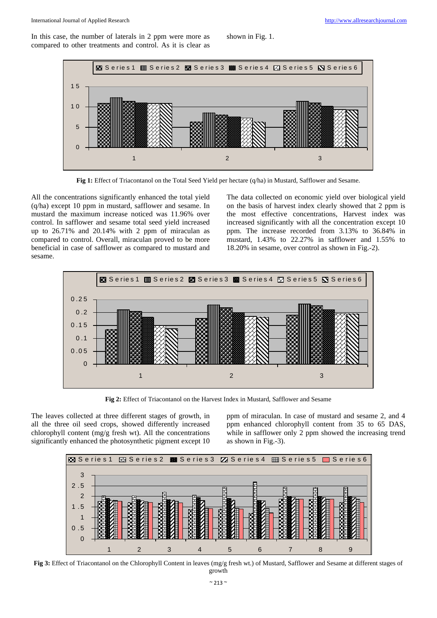In this case, the number of laterals in 2 ppm were more as compared to other treatments and control. As it is clear as shown in Fig. 1.



**Fig 1:** Effect of Triacontanol on the Total Seed Yield per hectare (q/ha) in Mustard, Safflower and Sesame.

All the concentrations significantly enhanced the total yield (q/ha) except 10 ppm in mustard, safflower and sesame. In mustard the maximum increase noticed was 11.96% over control. In safflower and sesame total seed yield increased up to 26.71% and 20.14% with 2 ppm of miraculan as compared to control. Overall, miraculan proved to be more beneficial in case of safflower as compared to mustard and sesame.

The data collected on economic yield over biological yield on the basis of harvest index clearly showed that 2 ppm is the most effective concentrations, Harvest index was increased significantly with all the concentration except 10 ppm. The increase recorded from 3.13% to 36.84% in mustard, 1.43% to 22.27% in safflower and 1.55% to 18.20% in sesame, over control as shown in Fig.-2).



**Fig 2:** Effect of Triacontanol on the Harvest Index in Mustard, Safflower and Sesame

The leaves collected at three different stages of growth, in all the three oil seed crops, showed differently increased chlorophyll content (mg/g fresh wt). All the concentrations significantly enhanced the photosynthetic pigment except 10

ppm of miraculan. In case of mustard and sesame 2, and 4 ppm enhanced chlorophyll content from 35 to 65 DAS, while in safflower only 2 ppm showed the increasing trend as shown in Fig.-3).



**Fig 3:** Effect of Triacontanol on the Chlorophyll Content in leaves (mg/g fresh wt.) of Mustard, Safflower and Sesame at different stages of growth